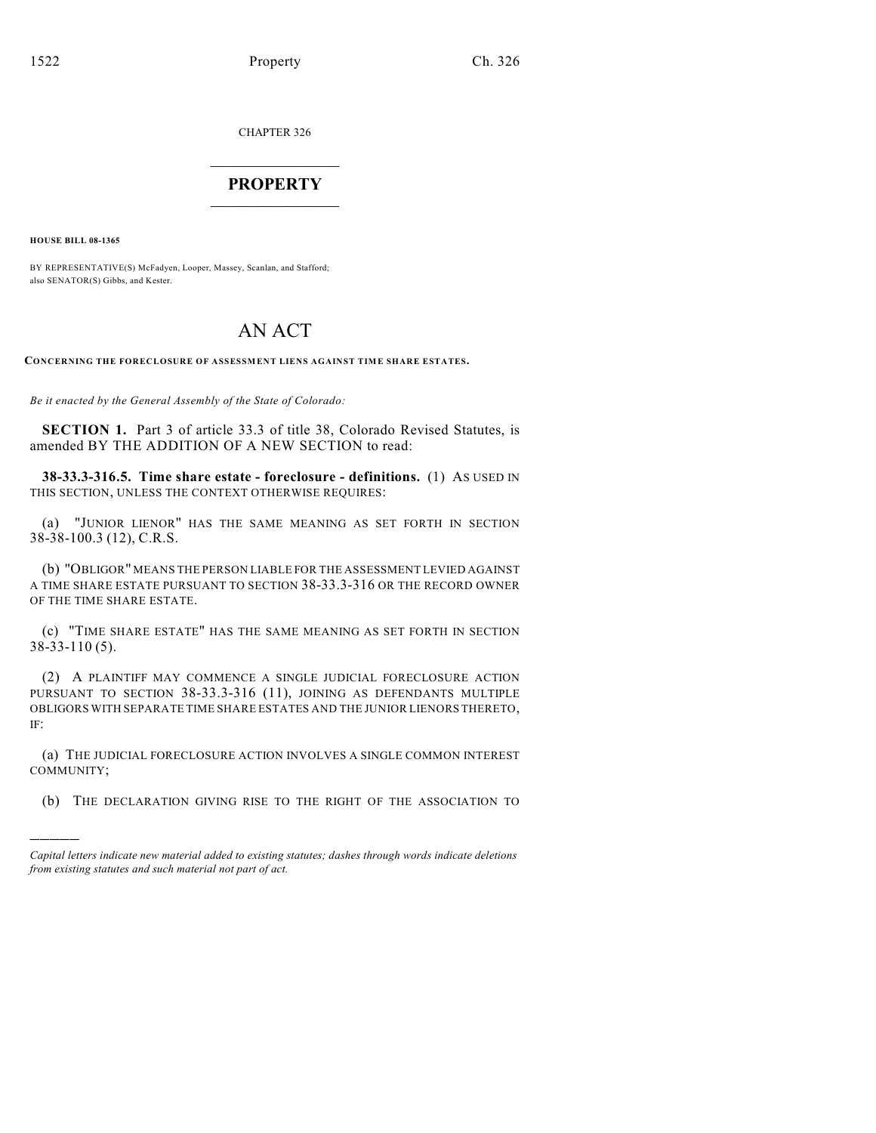CHAPTER 326

## $\mathcal{L}_\text{max}$  . The set of the set of the set of the set of the set of the set of the set of the set of the set of the set of the set of the set of the set of the set of the set of the set of the set of the set of the set **PROPERTY**  $\_$   $\_$   $\_$   $\_$   $\_$   $\_$   $\_$   $\_$   $\_$

**HOUSE BILL 08-1365**

)))))

BY REPRESENTATIVE(S) McFadyen, Looper, Massey, Scanlan, and Stafford; also SENATOR(S) Gibbs, and Kester.

## AN ACT

**CONCERNING THE FORECLOSURE OF ASSESSMENT LIENS AGAINST TIME SHARE ESTATES.**

*Be it enacted by the General Assembly of the State of Colorado:*

**SECTION 1.** Part 3 of article 33.3 of title 38, Colorado Revised Statutes, is amended BY THE ADDITION OF A NEW SECTION to read:

**38-33.3-316.5. Time share estate - foreclosure - definitions.** (1) AS USED IN THIS SECTION, UNLESS THE CONTEXT OTHERWISE REQUIRES:

(a) "JUNIOR LIENOR" HAS THE SAME MEANING AS SET FORTH IN SECTION 38-38-100.3 (12), C.R.S.

(b) "OBLIGOR" MEANS THE PERSON LIABLE FOR THE ASSESSMENT LEVIED AGAINST A TIME SHARE ESTATE PURSUANT TO SECTION 38-33.3-316 OR THE RECORD OWNER OF THE TIME SHARE ESTATE.

(c) "TIME SHARE ESTATE" HAS THE SAME MEANING AS SET FORTH IN SECTION 38-33-110 (5).

(2) A PLAINTIFF MAY COMMENCE A SINGLE JUDICIAL FORECLOSURE ACTION PURSUANT TO SECTION 38-33.3-316 (11), JOINING AS DEFENDANTS MULTIPLE OBLIGORS WITH SEPARATE TIME SHARE ESTATES AND THE JUNIOR LIENORS THERETO, IF:

(a) THE JUDICIAL FORECLOSURE ACTION INVOLVES A SINGLE COMMON INTEREST COMMUNITY;

(b) THE DECLARATION GIVING RISE TO THE RIGHT OF THE ASSOCIATION TO

*Capital letters indicate new material added to existing statutes; dashes through words indicate deletions from existing statutes and such material not part of act.*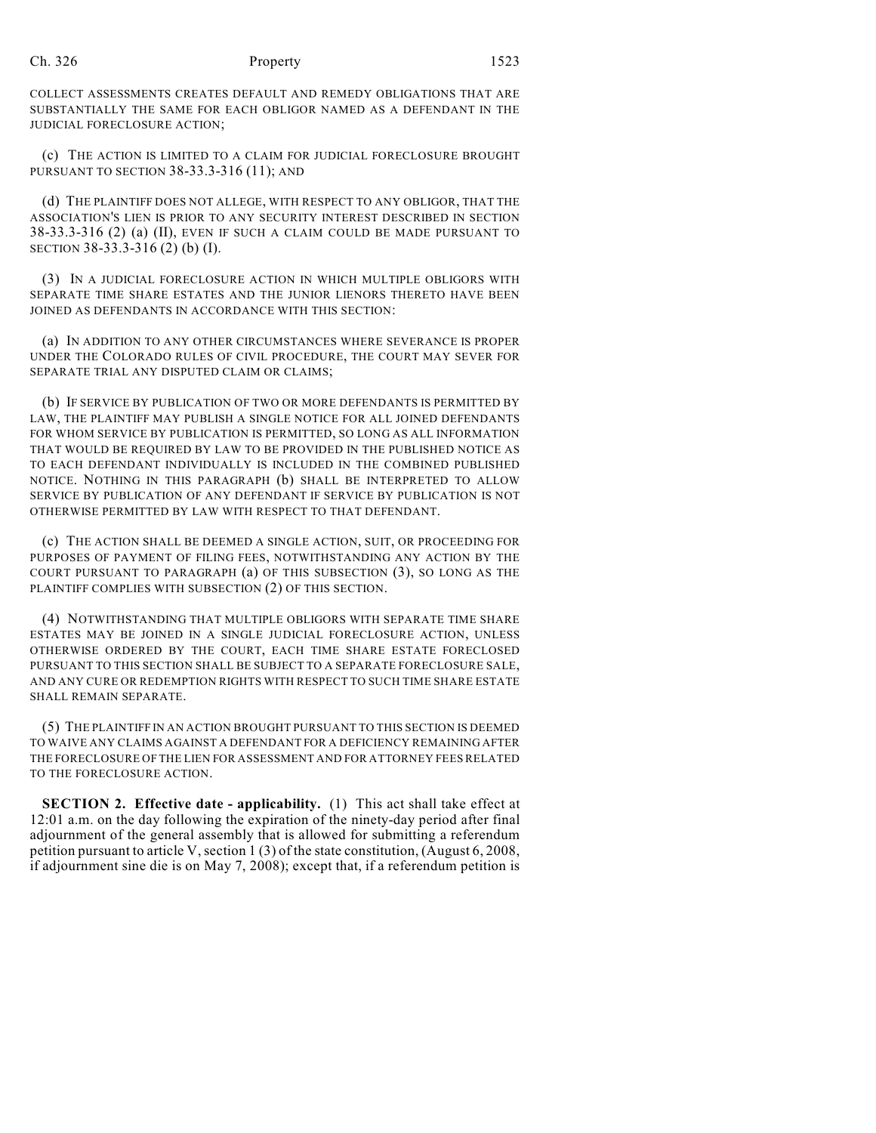COLLECT ASSESSMENTS CREATES DEFAULT AND REMEDY OBLIGATIONS THAT ARE SUBSTANTIALLY THE SAME FOR EACH OBLIGOR NAMED AS A DEFENDANT IN THE JUDICIAL FORECLOSURE ACTION;

(c) THE ACTION IS LIMITED TO A CLAIM FOR JUDICIAL FORECLOSURE BROUGHT PURSUANT TO SECTION 38-33.3-316 (11); AND

(d) THE PLAINTIFF DOES NOT ALLEGE, WITH RESPECT TO ANY OBLIGOR, THAT THE ASSOCIATION'S LIEN IS PRIOR TO ANY SECURITY INTEREST DESCRIBED IN SECTION 38-33.3-316 (2) (a) (II), EVEN IF SUCH A CLAIM COULD BE MADE PURSUANT TO SECTION 38-33.3-316 (2) (b) (I).

(3) IN A JUDICIAL FORECLOSURE ACTION IN WHICH MULTIPLE OBLIGORS WITH SEPARATE TIME SHARE ESTATES AND THE JUNIOR LIENORS THERETO HAVE BEEN JOINED AS DEFENDANTS IN ACCORDANCE WITH THIS SECTION:

(a) IN ADDITION TO ANY OTHER CIRCUMSTANCES WHERE SEVERANCE IS PROPER UNDER THE COLORADO RULES OF CIVIL PROCEDURE, THE COURT MAY SEVER FOR SEPARATE TRIAL ANY DISPUTED CLAIM OR CLAIMS;

(b) IF SERVICE BY PUBLICATION OF TWO OR MORE DEFENDANTS IS PERMITTED BY LAW, THE PLAINTIFF MAY PUBLISH A SINGLE NOTICE FOR ALL JOINED DEFENDANTS FOR WHOM SERVICE BY PUBLICATION IS PERMITTED, SO LONG AS ALL INFORMATION THAT WOULD BE REQUIRED BY LAW TO BE PROVIDED IN THE PUBLISHED NOTICE AS TO EACH DEFENDANT INDIVIDUALLY IS INCLUDED IN THE COMBINED PUBLISHED NOTICE. NOTHING IN THIS PARAGRAPH (b) SHALL BE INTERPRETED TO ALLOW SERVICE BY PUBLICATION OF ANY DEFENDANT IF SERVICE BY PUBLICATION IS NOT OTHERWISE PERMITTED BY LAW WITH RESPECT TO THAT DEFENDANT.

(c) THE ACTION SHALL BE DEEMED A SINGLE ACTION, SUIT, OR PROCEEDING FOR PURPOSES OF PAYMENT OF FILING FEES, NOTWITHSTANDING ANY ACTION BY THE COURT PURSUANT TO PARAGRAPH (a) OF THIS SUBSECTION (3), SO LONG AS THE PLAINTIFF COMPLIES WITH SUBSECTION (2) OF THIS SECTION.

(4) NOTWITHSTANDING THAT MULTIPLE OBLIGORS WITH SEPARATE TIME SHARE ESTATES MAY BE JOINED IN A SINGLE JUDICIAL FORECLOSURE ACTION, UNLESS OTHERWISE ORDERED BY THE COURT, EACH TIME SHARE ESTATE FORECLOSED PURSUANT TO THIS SECTION SHALL BE SUBJECT TO A SEPARATE FORECLOSURE SALE, AND ANY CURE OR REDEMPTION RIGHTS WITH RESPECT TO SUCH TIME SHARE ESTATE SHALL REMAIN SEPARATE.

(5) THE PLAINTIFF IN AN ACTION BROUGHT PURSUANT TO THIS SECTION IS DEEMED TO WAIVE ANY CLAIMS AGAINST A DEFENDANT FOR A DEFICIENCY REMAINING AFTER THE FORECLOSURE OF THE LIEN FOR ASSESSMENT AND FOR ATTORNEY FEES RELATED TO THE FORECLOSURE ACTION.

**SECTION 2. Effective date - applicability.** (1) This act shall take effect at 12:01 a.m. on the day following the expiration of the ninety-day period after final adjournment of the general assembly that is allowed for submitting a referendum petition pursuant to article V, section 1 (3) of the state constitution, (August 6, 2008, if adjournment sine die is on May 7, 2008); except that, if a referendum petition is